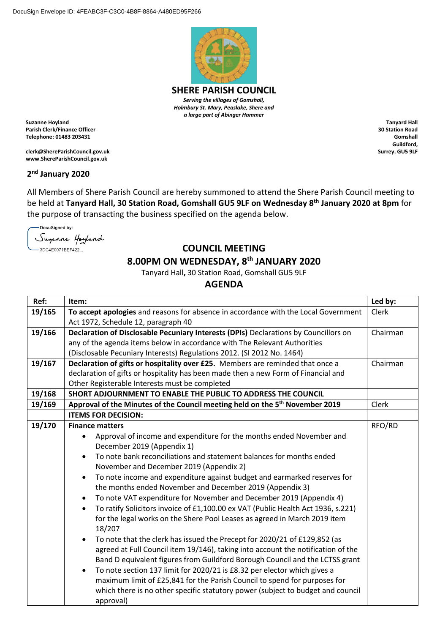

**SHERE PARISH COUNCIL** *Serving the villages of Gomshall, Holmbury St. Mary, Peaslake, Shere and a large part of Abinger Hammer*

**Suzanne Hoyland Parish Clerk/Finance Officer Telephone: 01483 203431**

**clerk@ShereParishCouncil.gov.uk www.ShereParishCouncil.gov.uk**

## **2 nd January 2020**

All Members of Shere Parish Council are hereby summoned to attend the Shere Parish Council meeting to be held at **Tanyard Hall, 30 Station Road, Gomshall GU5 9LF on Wednesday 8 th January 2020 at 8pm** for the purpose of transacting the business specified on the agenda below.

-DocuSigned by: Suganne Hoyland -3DC4E0071BEF422...

## **COUNCIL MEETING**

## **8.00PM ON WEDNESDAY, 8 th JANUARY 2020**

Tanyard Hall**,** 30 Station Road, Gomshall GU5 9LF

**AGENDA**

| Ref:   | Item:                                                                                         | Led by:  |
|--------|-----------------------------------------------------------------------------------------------|----------|
| 19/165 | To accept apologies and reasons for absence in accordance with the Local Government           | Clerk    |
|        | Act 1972, Schedule 12, paragraph 40                                                           |          |
| 19/166 | Declaration of Disclosable Pecuniary Interests (DPIs) Declarations by Councillors on          | Chairman |
|        | any of the agenda items below in accordance with The Relevant Authorities                     |          |
|        | (Disclosable Pecuniary Interests) Regulations 2012. (SI 2012 No. 1464)                        |          |
| 19/167 | Declaration of gifts or hospitality over £25. Members are reminded that once a                | Chairman |
|        | declaration of gifts or hospitality has been made then a new Form of Financial and            |          |
|        | Other Registerable Interests must be completed                                                |          |
| 19/168 | SHORT ADJOURNMENT TO ENABLE THE PUBLIC TO ADDRESS THE COUNCIL                                 |          |
| 19/169 | Approval of the Minutes of the Council meeting held on the 5 <sup>th</sup> November 2019      | Clerk    |
|        | <b>ITEMS FOR DECISION:</b>                                                                    |          |
| 19/170 | <b>Finance matters</b>                                                                        | RFO/RD   |
|        | Approval of income and expenditure for the months ended November and                          |          |
|        | December 2019 (Appendix 1)                                                                    |          |
|        | To note bank reconciliations and statement balances for months ended                          |          |
|        | November and December 2019 (Appendix 2)                                                       |          |
|        | To note income and expenditure against budget and earmarked reserves for<br>$\bullet$         |          |
|        | the months ended November and December 2019 (Appendix 3)                                      |          |
|        | To note VAT expenditure for November and December 2019 (Appendix 4)<br>$\bullet$              |          |
|        | To ratify Solicitors invoice of £1,100.00 ex VAT (Public Health Act 1936, s.221)<br>$\bullet$ |          |
|        | for the legal works on the Shere Pool Leases as agreed in March 2019 item                     |          |
|        | 18/207                                                                                        |          |
|        | To note that the clerk has issued the Precept for 2020/21 of £129,852 (as<br>$\bullet$        |          |
|        | agreed at Full Council item 19/146), taking into account the notification of the              |          |
|        | Band D equivalent figures from Guildford Borough Council and the LCTSS grant                  |          |
|        | To note section 137 limit for 2020/21 is £8.32 per elector which gives a<br>$\bullet$         |          |
|        | maximum limit of £25,841 for the Parish Council to spend for purposes for                     |          |
|        | which there is no other specific statutory power (subject to budget and council               |          |
|        | approval)                                                                                     |          |

**Tanyard Hall 30 Station Road Gomshall Guildford, Surrey. GU5 9LF**